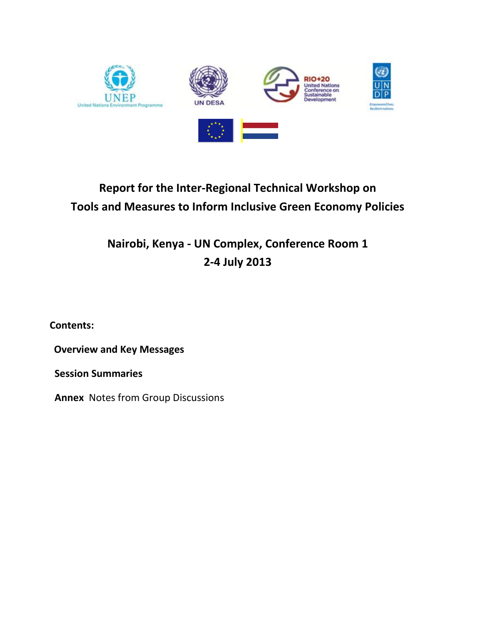

# **Report for the Inter-Regional Technical Workshop on Tools and Measures to Inform Inclusive Green Economy Policies**

**Nairobi, Kenya - UN Complex, Conference Room 1 2-4 July 2013**

**Contents:**

**Overview and Key Messages** 

**Session Summaries**

**Annex** Notes from Group Discussions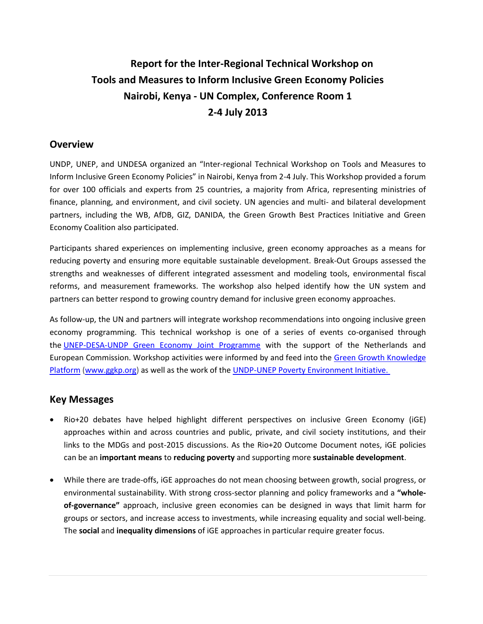# **Report for the Inter-Regional Technical Workshop on Tools and Measures to Inform Inclusive Green Economy Policies Nairobi, Kenya - UN Complex, Conference Room 1 2-4 July 2013**

### **Overview**

UNDP, UNEP, and UNDESA organized an "Inter-regional Technical Workshop on Tools and Measures to Inform Inclusive Green Economy Policies" in Nairobi, Kenya from 2-4 July. This Workshop provided a forum for over 100 officials and experts from 25 countries, a majority from Africa, representing ministries of finance, planning, and environment, and civil society. UN agencies and multi- and bilateral development partners, including the WB, AfDB, GIZ, DANIDA, the Green Growth Best Practices Initiative and Green Economy Coalition also participated.

Participants shared experiences on implementing inclusive, green economy approaches as a means for reducing poverty and ensuring more equitable sustainable development. Break-Out Groups assessed the strengths and weaknesses of different integrated assessment and modeling tools, environmental fiscal reforms, and measurement frameworks. The workshop also helped identify how the UN system and partners can better respond to growing country demand for inclusive green economy approaches.

As follow-up, the UN and partners will integrate workshop recommendations into ongoing inclusive green economy programming. This technical workshop is one of a series of events co-organised through the [UNEP-DESA-UNDP Green Economy Joint Programme](http://groups.undp.org/t/3856450/133807/11064/10/) with the support of the Netherlands and European Commission. Workshop activities were informed by and feed into the [Green Growth Knowledge](http://groups.undp.org/t/3856450/133807/11065/11/)  [Platform](http://groups.undp.org/t/3856450/133807/11065/11/) [\(www.ggkp.org\)](http://www.ggkp.org/) as well as the work of the [UNDP-UNEP Poverty Environment Initiative.](http://groups.undp.org/t/3856450/133807/1331/12/)

### **Key Messages**

- Rio+20 debates have helped highlight different perspectives on inclusive Green Economy (iGE) approaches within and across countries and public, private, and civil society institutions, and their links to the MDGs and post-2015 discussions. As the Rio+20 Outcome Document notes, iGE policies can be an **important means** to **reducing poverty** and supporting more **sustainable development**.
- While there are trade-offs, iGE approaches do not mean choosing between growth, social progress, or environmental sustainability. With strong cross-sector planning and policy frameworks and a **"wholeof-governance"** approach, inclusive green economies can be designed in ways that limit harm for groups or sectors, and increase access to investments, while increasing equality and social well-being. The **social** and **inequality dimensions** of iGE approaches in particular require greater focus.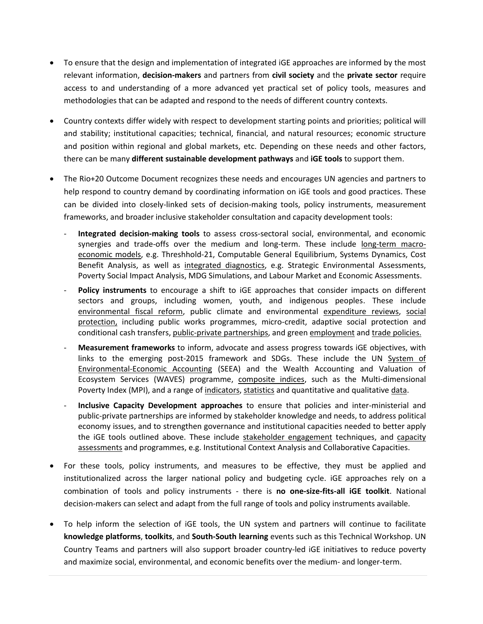- To ensure that the design and implementation of integrated iGE approaches are informed by the most relevant information, **decision-makers** and partners from **civil society** and the **private sector** require access to and understanding of a more advanced yet practical set of policy tools, measures and methodologies that can be adapted and respond to the needs of different country contexts.
- Country contexts differ widely with respect to development starting points and priorities; political will and stability; institutional capacities; technical, financial, and natural resources; economic structure and position within regional and global markets, etc. Depending on these needs and other factors, there can be many **different sustainable development pathways** and **iGE tools** to support them.
- The Rio+20 Outcome Document recognizes these needs and encourages UN agencies and partners to help respond to country demand by coordinating information on iGE tools and good practices. These can be divided into closely-linked sets of decision-making tools, policy instruments, measurement frameworks, and broader inclusive stakeholder consultation and capacity development tools:
	- **Integrated decision-making tools** to assess cross-sectoral social, environmental, and economic synergies and trade-offs over the medium and long-term. These include long-term macroeconomic models, e.g. Threshhold-21, Computable General Equilibrium, Systems Dynamics, Cost Benefit Analysis, as well as integrated diagnostics, e.g. Strategic Environmental Assessments, Poverty Social Impact Analysis, MDG Simulations, and Labour Market and Economic Assessments.
	- Policy instruments to encourage a shift to iGE approaches that consider impacts on different sectors and groups, including women, youth, and indigenous peoples. These include environmental fiscal reform, public climate and environmental expenditure reviews, social protection, including public works programmes, micro-credit, adaptive social protection and conditional cash transfers, public-private partnerships, and green employment and trade policies.
	- **Measurement frameworks** to inform, advocate and assess progress towards iGE objectives, with links to the emerging post-2015 framework and SDGs. These include the UN System of Environmental-Economic Accounting (SEEA) and the Wealth Accounting and Valuation of Ecosystem Services (WAVES) programme, composite indices, such as the Multi-dimensional Poverty Index (MPI), and a range of indicators, statistics and quantitative and qualitative data.
	- **Inclusive Capacity Development approaches** to ensure that policies and inter-ministerial and public-private partnerships are informed by stakeholder knowledge and needs, to address political economy issues, and to strengthen governance and institutional capacities needed to better apply the iGE tools outlined above. These include stakeholder engagement techniques, and capacity assessments and programmes, e.g. Institutional Context Analysis and Collaborative Capacities.
- For these tools, policy instruments, and measures to be effective, they must be applied and institutionalized across the larger national policy and budgeting cycle. iGE approaches rely on a combination of tools and policy instruments - there is **no one-size-fits-all iGE toolkit**. National decision-makers can select and adapt from the full range of tools and policy instruments available.
- To help inform the selection of iGE tools, the UN system and partners will continue to facilitate **knowledge platforms**, **toolkits**, and **South-South learning** events such as this Technical Workshop. UN Country Teams and partners will also support broader country-led iGE initiatives to reduce poverty and maximize social, environmental, and economic benefits over the medium- and longer-term.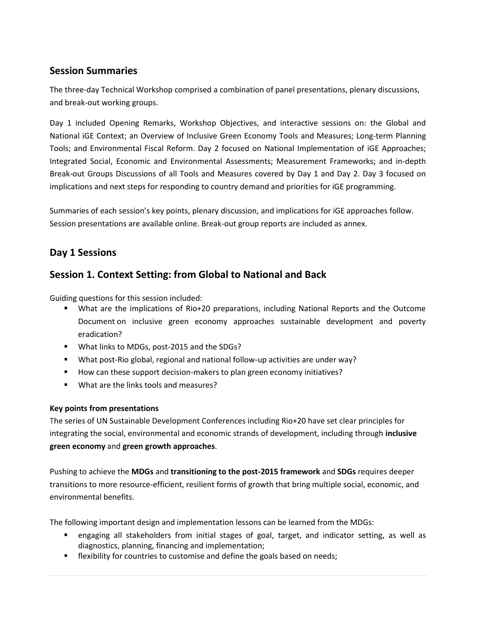## **Session Summaries**

The three-day Technical Workshop comprised a combination of panel presentations, plenary discussions, and break-out working groups.

Day 1 included Opening Remarks, Workshop Objectives, and interactive sessions on: the Global and National iGE Context; an Overview of Inclusive Green Economy Tools and Measures; Long-term Planning Tools; and Environmental Fiscal Reform. Day 2 focused on National Implementation of iGE Approaches; Integrated Social, Economic and Environmental Assessments; Measurement Frameworks; and in-depth Break-out Groups Discussions of all Tools and Measures covered by Day 1 and Day 2. Day 3 focused on implications and next steps for responding to country demand and priorities for iGE programming.

Summaries of each session's key points, plenary discussion, and implications for iGE approaches follow. Session presentations are available online. Break-out group reports are included as annex.

## **Day 1 Sessions**

# **Session 1. Context Setting: from Global to National and Back**

Guiding questions for this session included:

- What are the implications of Rio+20 preparations, including National Reports and the Outcome Document on inclusive green economy approaches sustainable development and poverty eradication?
- **What links to MDGs, post-2015 and the SDGs?**
- What post-Rio global, regional and national follow-up activities are under way?
- How can these support decision-makers to plan green economy initiatives?
- What are the links tools and measures?

#### **Key points from presentations**

The series of UN Sustainable Development Conferences including Rio+20 have set clear principles for integrating the social, environmental and economic strands of development, including through **inclusive green economy** and **green growth approaches**.

Pushing to achieve the **MDGs** and **transitioning to the post-2015 framework** and **SDGs** requires deeper transitions to more resource-efficient, resilient forms of growth that bring multiple social, economic, and environmental benefits.

The following important design and implementation lessons can be learned from the MDGs:

- engaging all stakeholders from initial stages of goal, target, and indicator setting, as well as diagnostics, planning, financing and implementation;
- **Fall flexibility for countries to customise and define the goals based on needs;**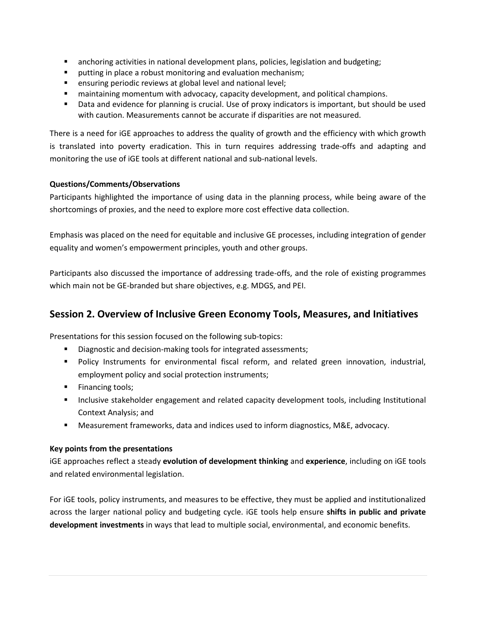- anchoring activities in national development plans, policies, legislation and budgeting;
- **P** putting in place a robust monitoring and evaluation mechanism;
- ensuring periodic reviews at global level and national level;
- maintaining momentum with advocacy, capacity development, and political champions.
- Data and evidence for planning is crucial. Use of proxy indicators is important, but should be used with caution. Measurements cannot be accurate if disparities are not measured.

There is a need for iGE approaches to address the quality of growth and the efficiency with which growth is translated into poverty eradication. This in turn requires addressing trade-offs and adapting and monitoring the use of iGE tools at different national and sub-national levels.

#### **Questions/Comments/Observations**

Participants highlighted the importance of using data in the planning process, while being aware of the shortcomings of proxies, and the need to explore more cost effective data collection.

Emphasis was placed on the need for equitable and inclusive GE processes, including integration of gender equality and women's empowerment principles, youth and other groups.

Participants also discussed the importance of addressing trade-offs, and the role of existing programmes which main not be GE-branded but share objectives, e.g. MDGS, and PEI.

### **Session 2. Overview of Inclusive Green Economy Tools, Measures, and Initiatives**

Presentations for this session focused on the following sub-topics:

- Diagnostic and decision-making tools for integrated assessments;
- **Policy Instruments for environmental fiscal reform, and related green innovation, industrial,** employment policy and social protection instruments;
- **Financing tools;**
- **Inclusive stakeholder engagement and related capacity development tools, including Institutional** Context Analysis; and
- Measurement frameworks, data and indices used to inform diagnostics, M&E, advocacy.

#### **Key points from the presentations**

iGE approaches reflect a steady **evolution of development thinking** and **experience**, including on iGE tools and related environmental legislation.

For iGE tools, policy instruments, and measures to be effective, they must be applied and institutionalized across the larger national policy and budgeting cycle. iGE tools help ensure **shifts in public and private development investments** in ways that lead to multiple social, environmental, and economic benefits.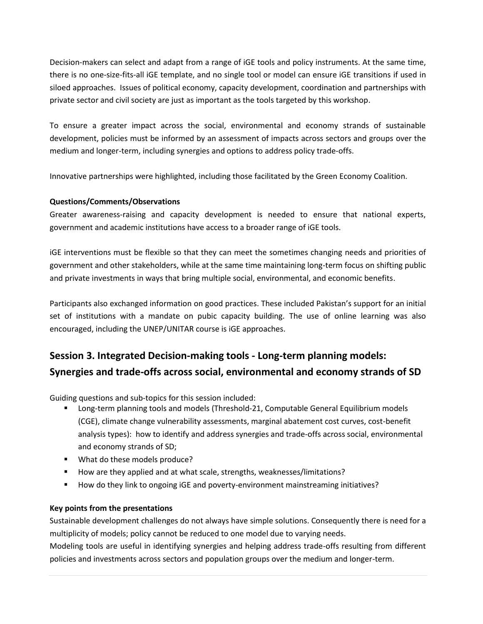Decision-makers can select and adapt from a range of iGE tools and policy instruments. At the same time, there is no one-size-fits-all iGE template, and no single tool or model can ensure iGE transitions if used in siloed approaches. Issues of political economy, capacity development, coordination and partnerships with private sector and civil society are just as important as the tools targeted by this workshop.

To ensure a greater impact across the social, environmental and economy strands of sustainable development, policies must be informed by an assessment of impacts across sectors and groups over the medium and longer-term, including synergies and options to address policy trade-offs.

Innovative partnerships were highlighted, including those facilitated by the Green Economy Coalition.

#### **Questions/Comments/Observations**

Greater awareness-raising and capacity development is needed to ensure that national experts, government and academic institutions have access to a broader range of iGE tools.

iGE interventions must be flexible so that they can meet the sometimes changing needs and priorities of government and other stakeholders, while at the same time maintaining long-term focus on shifting public and private investments in ways that bring multiple social, environmental, and economic benefits.

Participants also exchanged information on good practices. These included Pakistan's support for an initial set of institutions with a mandate on pubic capacity building. The use of online learning was also encouraged, including the UNEP/UNITAR course is iGE approaches.

# **Session 3. Integrated Decision-making tools - Long-term planning models: Synergies and trade-offs across social, environmental and economy strands of SD**

Guiding questions and sub-topics for this session included:

- Long-term planning tools and models (Threshold-21, Computable General Equilibrium models (CGE), climate change vulnerability assessments, marginal abatement cost curves, cost-benefit analysis types): how to identify and address synergies and trade-offs across social, environmental and economy strands of SD;
- **What do these models produce?**
- How are they applied and at what scale, strengths, weaknesses/limitations?
- How do they link to ongoing iGE and poverty-environment mainstreaming initiatives?

#### **Key points from the presentations**

Sustainable development challenges do not always have simple solutions. Consequently there is need for a multiplicity of models; policy cannot be reduced to one model due to varying needs.

Modeling tools are useful in identifying synergies and helping address trade-offs resulting from different policies and investments across sectors and population groups over the medium and longer-term.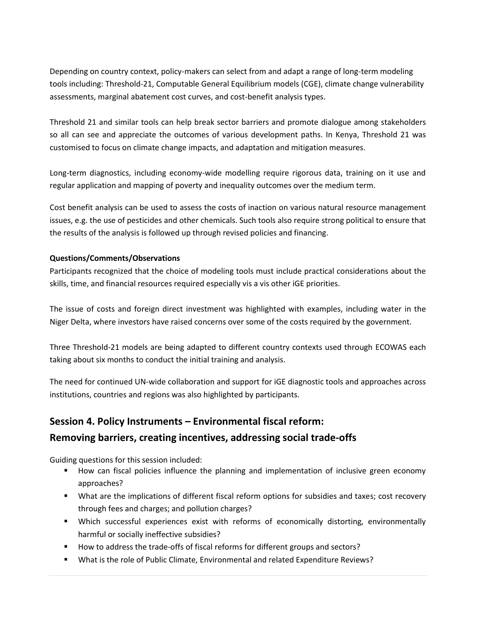Depending on country context, policy-makers can select from and adapt a range of long-term modeling tools including: Threshold-21, Computable General Equilibrium models (CGE), climate change vulnerability assessments, marginal abatement cost curves, and cost-benefit analysis types.

Threshold 21 and similar tools can help break sector barriers and promote dialogue among stakeholders so all can see and appreciate the outcomes of various development paths. In Kenya, Threshold 21 was customised to focus on climate change impacts, and adaptation and mitigation measures.

Long-term diagnostics, including economy-wide modelling require rigorous data, training on it use and regular application and mapping of poverty and inequality outcomes over the medium term.

Cost benefit analysis can be used to assess the costs of inaction on various natural resource management issues, e.g. the use of pesticides and other chemicals. Such tools also require strong political to ensure that the results of the analysis is followed up through revised policies and financing.

#### **Questions/Comments/Observations**

Participants recognized that the choice of modeling tools must include practical considerations about the skills, time, and financial resources required especially vis a vis other iGE priorities.

The issue of costs and foreign direct investment was highlighted with examples, including water in the Niger Delta, where investors have raised concerns over some of the costs required by the government.

Three Threshold-21 models are being adapted to different country contexts used through ECOWAS each taking about six months to conduct the initial training and analysis.

The need for continued UN-wide collaboration and support for iGE diagnostic tools and approaches across institutions, countries and regions was also highlighted by participants.

# **Session 4. Policy Instruments – Environmental fiscal reform:**

### **Removing barriers, creating incentives, addressing social trade-offs**

Guiding questions for this session included:

- How can fiscal policies influence the planning and implementation of inclusive green economy approaches?
- What are the implications of different fiscal reform options for subsidies and taxes; cost recovery through fees and charges; and pollution charges?
- Which successful experiences exist with reforms of economically distorting, environmentally harmful or socially ineffective subsidies?
- How to address the trade-offs of fiscal reforms for different groups and sectors?
- What is the role of Public Climate, Environmental and related Expenditure Reviews?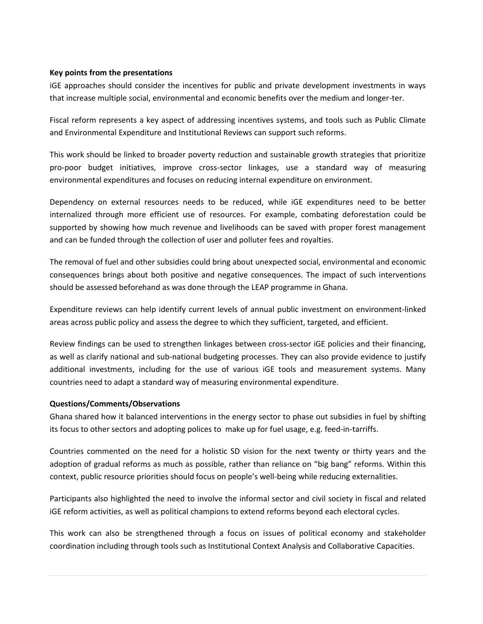#### **Key points from the presentations**

iGE approaches should consider the incentives for public and private development investments in ways that increase multiple social, environmental and economic benefits over the medium and longer-ter.

Fiscal reform represents a key aspect of addressing incentives systems, and tools such as Public Climate and Environmental Expenditure and Institutional Reviews can support such reforms.

This work should be linked to broader poverty reduction and sustainable growth strategies that prioritize pro-poor budget initiatives, improve cross-sector linkages, use a standard way of measuring environmental expenditures and focuses on reducing internal expenditure on environment.

Dependency on external resources needs to be reduced, while iGE expenditures need to be better internalized through more efficient use of resources. For example, combating deforestation could be supported by showing how much revenue and livelihoods can be saved with proper forest management and can be funded through the collection of user and polluter fees and royalties.

The removal of fuel and other subsidies could bring about unexpected social, environmental and economic consequences brings about both positive and negative consequences. The impact of such interventions should be assessed beforehand as was done through the LEAP programme in Ghana.

Expenditure reviews can help identify current levels of annual public investment on environment-linked areas across public policy and assess the degree to which they sufficient, targeted, and efficient.

Review findings can be used to strengthen linkages between cross-sector iGE policies and their financing, as well as clarify national and sub-national budgeting processes. They can also provide evidence to justify additional investments, including for the use of various iGE tools and measurement systems. Many countries need to adapt a standard way of measuring environmental expenditure.

#### **Questions/Comments/Observations**

Ghana shared how it balanced interventions in the energy sector to phase out subsidies in fuel by shifting its focus to other sectors and adopting polices to make up for fuel usage, e.g. feed-in-tarriffs.

Countries commented on the need for a holistic SD vision for the next twenty or thirty years and the adoption of gradual reforms as much as possible, rather than reliance on "big bang" reforms. Within this context, public resource priorities should focus on people's well-being while reducing externalities.

Participants also highlighted the need to involve the informal sector and civil society in fiscal and related iGE reform activities, as well as political champions to extend reforms beyond each electoral cycles.

This work can also be strengthened through a focus on issues of political economy and stakeholder coordination including through tools such as Institutional Context Analysis and Collaborative Capacities.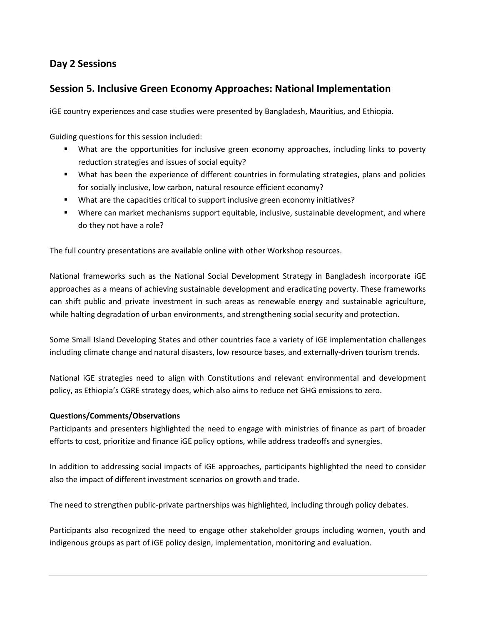# **Day 2 Sessions**

### **Session 5. Inclusive Green Economy Approaches: National Implementation**

iGE country experiences and case studies were presented by Bangladesh, Mauritius, and Ethiopia.

Guiding questions for this session included:

- What are the opportunities for inclusive green economy approaches, including links to poverty reduction strategies and issues of social equity?
- What has been the experience of different countries in formulating strategies, plans and policies for socially inclusive, low carbon, natural resource efficient economy?
- What are the capacities critical to support inclusive green economy initiatives?
- Where can market mechanisms support equitable, inclusive, sustainable development, and where do they not have a role?

The full country presentations are available online with other Workshop resources.

National frameworks such as the National Social Development Strategy in Bangladesh incorporate iGE approaches as a means of achieving sustainable development and eradicating poverty. These frameworks can shift public and private investment in such areas as renewable energy and sustainable agriculture, while halting degradation of urban environments, and strengthening social security and protection.

Some Small Island Developing States and other countries face a variety of iGE implementation challenges including climate change and natural disasters, low resource bases, and externally-driven tourism trends.

National iGE strategies need to align with Constitutions and relevant environmental and development policy, as Ethiopia's CGRE strategy does, which also aims to reduce net GHG emissions to zero.

#### **Questions/Comments/Observations**

Participants and presenters highlighted the need to engage with ministries of finance as part of broader efforts to cost, prioritize and finance iGE policy options, while address tradeoffs and synergies.

In addition to addressing social impacts of iGE approaches, participants highlighted the need to consider also the impact of different investment scenarios on growth and trade.

The need to strengthen public-private partnerships was highlighted, including through policy debates.

Participants also recognized the need to engage other stakeholder groups including women, youth and indigenous groups as part of iGE policy design, implementation, monitoring and evaluation.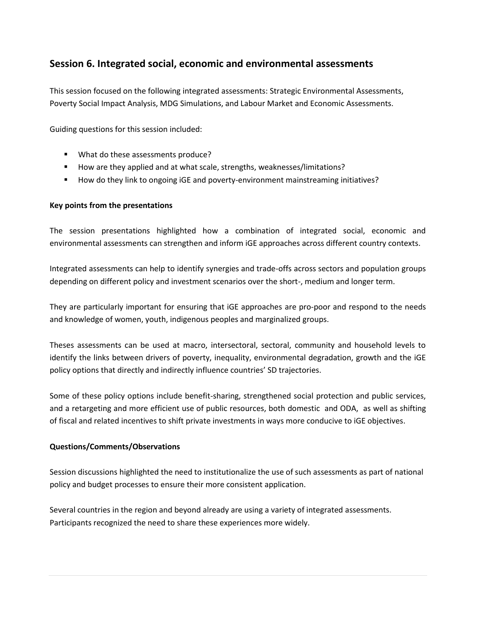### **Session 6. Integrated social, economic and environmental assessments**

This session focused on the following integrated assessments: Strategic Environmental Assessments, Poverty Social Impact Analysis, MDG Simulations, and Labour Market and Economic Assessments.

Guiding questions for this session included:

- **What do these assessments produce?**
- How are they applied and at what scale, strengths, weaknesses/limitations?
- How do they link to ongoing iGE and poverty-environment mainstreaming initiatives?

#### **Key points from the presentations**

The session presentations highlighted how a combination of integrated social, economic and environmental assessments can strengthen and inform iGE approaches across different country contexts.

Integrated assessments can help to identify synergies and trade-offs across sectors and population groups depending on different policy and investment scenarios over the short-, medium and longer term.

They are particularly important for ensuring that iGE approaches are pro-poor and respond to the needs and knowledge of women, youth, indigenous peoples and marginalized groups.

Theses assessments can be used at macro, intersectoral, sectoral, community and household levels to identify the links between drivers of poverty, inequality, environmental degradation, growth and the iGE policy options that directly and indirectly influence countries' SD trajectories.

Some of these policy options include benefit-sharing, strengthened social protection and public services, and a retargeting and more efficient use of public resources, both domestic and ODA, as well as shifting of fiscal and related incentives to shift private investments in ways more conducive to iGE objectives.

#### **Questions/Comments/Observations**

Session discussions highlighted the need to institutionalize the use of such assessments as part of national policy and budget processes to ensure their more consistent application.

Several countries in the region and beyond already are using a variety of integrated assessments. Participants recognized the need to share these experiences more widely.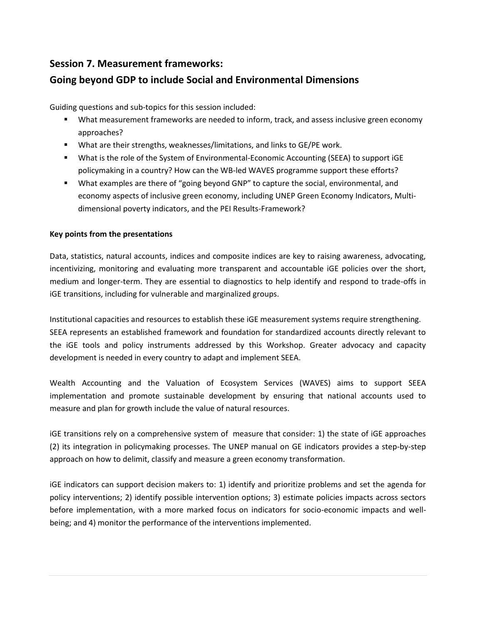# **Session 7. Measurement frameworks:**

# **Going beyond GDP to include Social and Environmental Dimensions**

Guiding questions and sub-topics for this session included:

- What measurement frameworks are needed to inform, track, and assess inclusive green economy approaches?
- What are their strengths, weaknesses/limitations, and links to GE/PE work.
- What is the role of the System of Environmental-Economic Accounting (SEEA) to support iGE policymaking in a country? How can the WB-led WAVES programme support these efforts?
- **What examples are there of "going beyond GNP" to capture the social, environmental, and** economy aspects of inclusive green economy, including UNEP Green Economy Indicators, Multidimensional poverty indicators, and the PEI Results-Framework?

#### **Key points from the presentations**

Data, statistics, natural accounts, indices and composite indices are key to raising awareness, advocating, incentivizing, monitoring and evaluating more transparent and accountable iGE policies over the short, medium and longer-term. They are essential to diagnostics to help identify and respond to trade-offs in iGE transitions, including for vulnerable and marginalized groups.

Institutional capacities and resources to establish these iGE measurement systems require strengthening. SEEA represents an established framework and foundation for standardized accounts directly relevant to the iGE tools and policy instruments addressed by this Workshop. Greater advocacy and capacity development is needed in every country to adapt and implement SEEA.

Wealth Accounting and the Valuation of Ecosystem Services (WAVES) aims to support SEEA implementation and promote sustainable development by ensuring that national accounts used to measure and plan for growth include the value of natural resources.

iGE transitions rely on a comprehensive system of measure that consider: 1) the state of iGE approaches (2) its integration in policymaking processes. The UNEP manual on GE indicators provides a step-by-step approach on how to delimit, classify and measure a green economy transformation.

iGE indicators can support decision makers to: 1) identify and prioritize problems and set the agenda for policy interventions; 2) identify possible intervention options; 3) estimate policies impacts across sectors before implementation, with a more marked focus on indicators for socio-economic impacts and wellbeing; and 4) monitor the performance of the interventions implemented.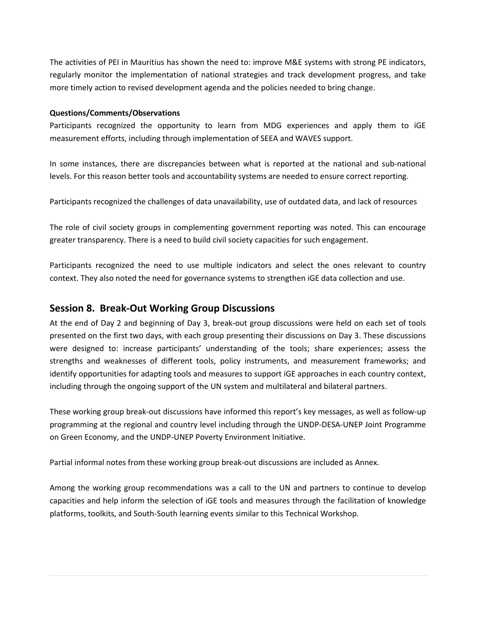The activities of PEI in Mauritius has shown the need to: improve M&E systems with strong PE indicators, regularly monitor the implementation of national strategies and track development progress, and take more timely action to revised development agenda and the policies needed to bring change.

#### **Questions/Comments/Observations**

Participants recognized the opportunity to learn from MDG experiences and apply them to iGE measurement efforts, including through implementation of SEEA and WAVES support.

In some instances, there are discrepancies between what is reported at the national and sub-national levels. For this reason better tools and accountability systems are needed to ensure correct reporting.

Participants recognized the challenges of data unavailability, use of outdated data, and lack of resources

The role of civil society groups in complementing government reporting was noted. This can encourage greater transparency. There is a need to build civil society capacities for such engagement.

Participants recognized the need to use multiple indicators and select the ones relevant to country context. They also noted the need for governance systems to strengthen iGE data collection and use.

### **Session 8. Break-Out Working Group Discussions**

At the end of Day 2 and beginning of Day 3, break-out group discussions were held on each set of tools presented on the first two days, with each group presenting their discussions on Day 3. These discussions were designed to: increase participants' understanding of the tools; share experiences; assess the strengths and weaknesses of different tools, policy instruments, and measurement frameworks; and identify opportunities for adapting tools and measures to support iGE approaches in each country context, including through the ongoing support of the UN system and multilateral and bilateral partners.

These working group break-out discussions have informed this report's key messages, as well as follow-up programming at the regional and country level including through the UNDP-DESA-UNEP Joint Programme on Green Economy, and the UNDP-UNEP Poverty Environment Initiative.

Partial informal notes from these working group break-out discussions are included as Annex.

Among the working group recommendations was a call to the UN and partners to continue to develop capacities and help inform the selection of iGE tools and measures through the facilitation of knowledge platforms, toolkits, and South-South learning events similar to this Technical Workshop.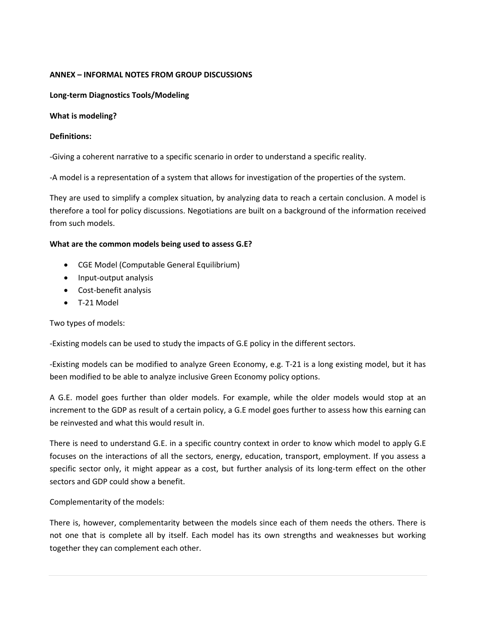#### **ANNEX – INFORMAL NOTES FROM GROUP DISCUSSIONS**

**Long-term Diagnostics Tools/Modeling**

**What is modeling?**

#### **Definitions:**

-Giving a coherent narrative to a specific scenario in order to understand a specific reality.

-A model is a representation of a system that allows for investigation of the properties of the system.

They are used to simplify a complex situation, by analyzing data to reach a certain conclusion. A model is therefore a tool for policy discussions. Negotiations are built on a background of the information received from such models.

#### **What are the common models being used to assess G.E?**

- CGE Model (Computable General Equilibrium)
- Input-output analysis
- Cost-benefit analysis
- T-21 Model

Two types of models:

-Existing models can be used to study the impacts of G.E policy in the different sectors.

-Existing models can be modified to analyze Green Economy, e.g. T-21 is a long existing model, but it has been modified to be able to analyze inclusive Green Economy policy options.

A G.E. model goes further than older models. For example, while the older models would stop at an increment to the GDP as result of a certain policy, a G.E model goes further to assess how this earning can be reinvested and what this would result in.

There is need to understand G.E. in a specific country context in order to know which model to apply G.E focuses on the interactions of all the sectors, energy, education, transport, employment. If you assess a specific sector only, it might appear as a cost, but further analysis of its long-term effect on the other sectors and GDP could show a benefit.

Complementarity of the models:

There is, however, complementarity between the models since each of them needs the others. There is not one that is complete all by itself. Each model has its own strengths and weaknesses but working together they can complement each other.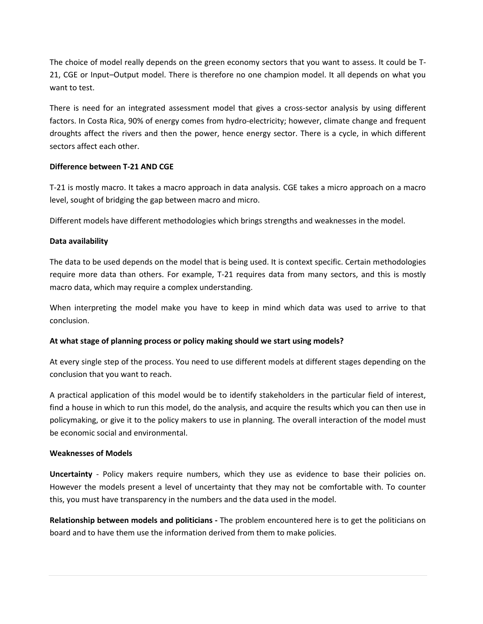The choice of model really depends on the green economy sectors that you want to assess. It could be T-21, CGE or Input–Output model. There is therefore no one champion model. It all depends on what you want to test.

There is need for an integrated assessment model that gives a cross-sector analysis by using different factors. In Costa Rica, 90% of energy comes from hydro-electricity; however, climate change and frequent droughts affect the rivers and then the power, hence energy sector. There is a cycle, in which different sectors affect each other.

#### **Difference between T-21 AND CGE**

T-21 is mostly macro. It takes a macro approach in data analysis. CGE takes a micro approach on a macro level, sought of bridging the gap between macro and micro.

Different models have different methodologies which brings strengths and weaknesses in the model.

#### **Data availability**

The data to be used depends on the model that is being used. It is context specific. Certain methodologies require more data than others. For example, T-21 requires data from many sectors, and this is mostly macro data, which may require a complex understanding.

When interpreting the model make you have to keep in mind which data was used to arrive to that conclusion.

#### **At what stage of planning process or policy making should we start using models?**

At every single step of the process. You need to use different models at different stages depending on the conclusion that you want to reach.

A practical application of this model would be to identify stakeholders in the particular field of interest, find a house in which to run this model, do the analysis, and acquire the results which you can then use in policymaking, or give it to the policy makers to use in planning. The overall interaction of the model must be economic social and environmental.

#### **Weaknesses of Models**

**Uncertainty** - Policy makers require numbers, which they use as evidence to base their policies on. However the models present a level of uncertainty that they may not be comfortable with. To counter this, you must have transparency in the numbers and the data used in the model.

**Relationship between models and politicians -** The problem encountered here is to get the politicians on board and to have them use the information derived from them to make policies.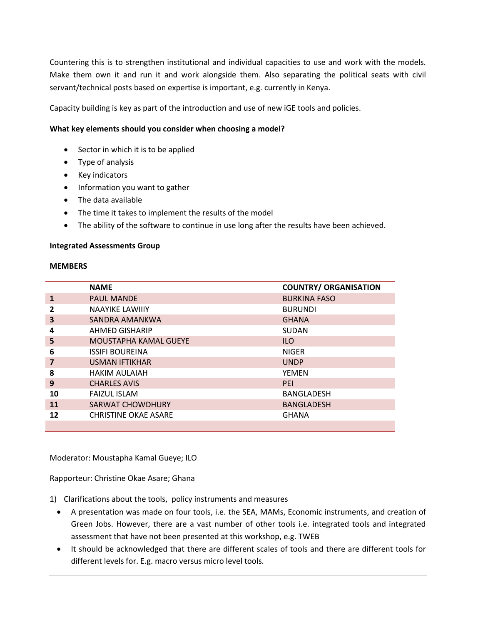Countering this is to strengthen institutional and individual capacities to use and work with the models. Make them own it and run it and work alongside them. Also separating the political seats with civil servant/technical posts based on expertise is important, e.g. currently in Kenya.

Capacity building is key as part of the introduction and use of new iGE tools and policies.

#### **What key elements should you consider when choosing a model?**

- Sector in which it is to be applied
- Type of analysis
- Key indicators
- Information you want to gather
- The data available
- The time it takes to implement the results of the model
- The ability of the software to continue in use long after the results have been achieved.

#### **Integrated Assessments Group**

#### **MEMBERS**

|    | <b>NAME</b>                 | <b>COUNTRY/ ORGANISATION</b> |
|----|-----------------------------|------------------------------|
| 1  | <b>PAUL MANDE</b>           | <b>BURKINA FASO</b>          |
| 2  | <b>NAAYIKE LAWIIIY</b>      | <b>BURUNDI</b>               |
| 3  | SANDRA AMANKWA              | <b>GHANA</b>                 |
| 4  | AHMED GISHARIP              | <b>SUDAN</b>                 |
| 5  | MOUSTAPHA KAMAL GUEYE       | <b>ILO</b>                   |
| 6  | <b>ISSIFI BOUREINA</b>      | <b>NIGER</b>                 |
| 7  | <b>USMAN IFTIKHAR</b>       | <b>UNDP</b>                  |
| 8  | <b>HAKIM AULAIAH</b>        | <b>YEMEN</b>                 |
| 9  | <b>CHARLES AVIS</b>         | PFI                          |
| 10 | <b>FAIZUL ISLAM</b>         | <b>BANGLADESH</b>            |
| 11 | <b>SARWAT CHOWDHURY</b>     | <b>BANGLADESH</b>            |
| 12 | <b>CHRISTINE OKAE ASARE</b> | <b>GHANA</b>                 |
|    |                             |                              |

Moderator: Moustapha Kamal Gueye; ILO

Rapporteur: Christine Okae Asare; Ghana

- 1) Clarifications about the tools, policy instruments and measures
	- A presentation was made on four tools, i.e. the SEA, MAMs, Economic instruments, and creation of Green Jobs. However, there are a vast number of other tools i.e. integrated tools and integrated assessment that have not been presented at this workshop, e.g. TWEB
	- It should be acknowledged that there are different scales of tools and there are different tools for different levels for. E.g. macro versus micro level tools.